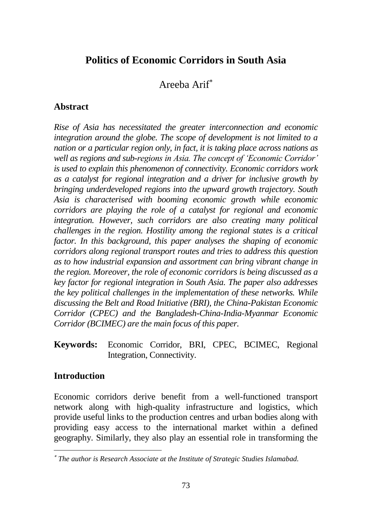# **Politics of Economic Corridors in South Asia**

# Areeba Arif

## **Abstract**

*Rise of Asia has necessitated the greater interconnection and economic integration around the globe. The scope of development is not limited to a nation or a particular region only, in fact, it is taking place across nations as well as regions and sub-regions in Asia. The concept of 'Economic Corridor' is used to explain this phenomenon of connectivity. Economic corridors work as a catalyst for regional integration and a driver for inclusive growth by bringing underdeveloped regions into the upward growth trajectory. South Asia is characterised with booming economic growth while economic corridors are playing the role of a catalyst for regional and economic integration. However, such corridors are also creating many political challenges in the region. Hostility among the regional states is a critical factor. In this background, this paper analyses the shaping of economic corridors along regional transport routes and tries to address this question as to how industrial expansion and assortment can bring vibrant change in the region. Moreover, the role of economic corridors is being discussed as a key factor for regional integration in South Asia. The paper also addresses the key political challenges in the implementation of these networks. While discussing the Belt and Road Initiative (BRI), the China-Pakistan Economic Corridor (CPEC) and the Bangladesh-China-India-Myanmar Economic Corridor (BCIMEC) are the main focus of this paper.*

**Keywords:** Economic Corridor, BRI, CPEC, BCIMEC, Regional Integration, Connectivity.

## **Introduction**

Economic corridors derive benefit from a well-functioned transport network along with high-quality infrastructure and logistics, which provide useful links to the production centres and urban bodies along with providing easy access to the international market within a defined geography. Similarly, they also play an essential role in transforming the

*The author is Research Associate at the Institute of Strategic Studies Islamabad.*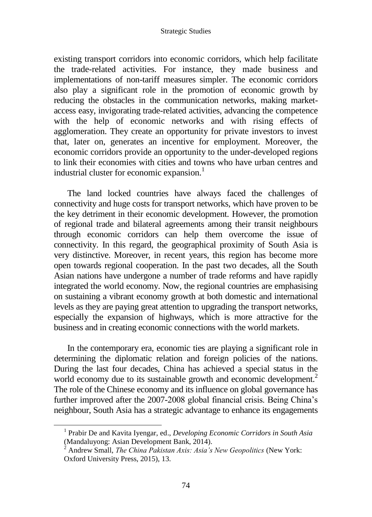existing transport corridors into economic corridors, which help facilitate the trade-related activities. For instance, they made business and implementations of non-tariff measures simpler. The economic corridors also play a significant role in the promotion of economic growth by reducing the obstacles in the communication networks, making marketaccess easy, invigorating trade-related activities, advancing the competence with the help of economic networks and with rising effects of agglomeration. They create an opportunity for private investors to invest that, later on, generates an incentive for employment. Moreover, the economic corridors provide an opportunity to the under-developed regions to link their economies with cities and towns who have urban centres and industrial cluster for economic expansion.<sup>1</sup>

The land locked countries have always faced the challenges of connectivity and huge costs for transport networks, which have proven to be the key detriment in their economic development. However, the promotion of regional trade and bilateral agreements among their transit neighbours through economic corridors can help them overcome the issue of connectivity. In this regard, the geographical proximity of South Asia is very distinctive. Moreover, in recent years, this region has become more open towards regional cooperation. In the past two decades, all the South Asian nations have undergone a number of trade reforms and have rapidly integrated the world economy. Now, the regional countries are emphasising on sustaining a vibrant economy growth at both domestic and international levels as they are paying great attention to upgrading the transport networks, especially the expansion of highways, which is more attractive for the business and in creating economic connections with the world markets.

In the contemporary era, economic ties are playing a significant role in determining the diplomatic relation and foreign policies of the nations. During the last four decades, China has achieved a special status in the world economy due to its sustainable growth and economic development.<sup>2</sup> The role of the Chinese economy and its influence on global governance has further improved after the 2007-2008 global financial crisis. Being China's neighbour, South Asia has a strategic advantage to enhance its engagements

<sup>1</sup> Prabir De and Kavita Iyengar, ed., *Developing Economic Corridors in South Asia* (Mandaluyong: Asian Development Bank, 2014).

<sup>2</sup> Andrew Small, *The China Pakistan Axis: Asia's New Geopolitics* (New York: Oxford University Press, 2015), 13.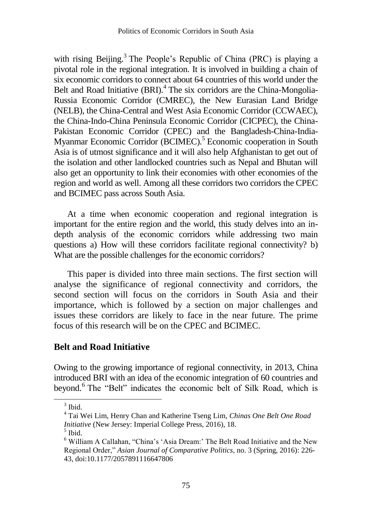with rising Beijing.<sup>3</sup> The People's Republic of China (PRC) is playing a pivotal role in the regional integration. It is involved in building a chain of six economic corridors to connect about 64 countries of this world under the Belt and Road Initiative (BRI).<sup>4</sup> The six corridors are the China-Mongolia-Russia Economic Corridor (CMREC), the New Eurasian Land Bridge (NELB), the China-Central and West Asia Economic Corridor (CCWAEC), the China-Indo-China Peninsula Economic Corridor (CICPEC), the China-Pakistan Economic Corridor (CPEC) and the Bangladesh-China-India-Myanmar Economic Corridor (BCIMEC).<sup>5</sup> Economic cooperation in South Asia is of utmost significance and it will also help Afghanistan to get out of the isolation and other landlocked countries such as Nepal and Bhutan will also get an opportunity to link their economies with other economies of the region and world as well. Among all these corridors two corridors the CPEC and BCIMEC pass across South Asia.

At a time when economic cooperation and regional integration is important for the entire region and the world, this study delves into an indepth analysis of the economic corridors while addressing two main questions a) How will these corridors facilitate regional connectivity? b) What are the possible challenges for the economic corridors?

This paper is divided into three main sections. The first section will analyse the significance of regional connectivity and corridors, the second section will focus on the corridors in South Asia and their importance, which is followed by a section on major challenges and issues these corridors are likely to face in the near future. The prime focus of this research will be on the CPEC and BCIMEC.

### **Belt and Road Initiative**

Owing to the growing importance of regional connectivity, in 2013, China introduced BRI with an idea of the economic integration of 60 countries and beyond.<sup>6</sup> The "Belt" indicates the economic belt of Silk Road, which is

 $3$  Ibid.

<sup>4</sup> Tai Wei Lim, Henry Chan and Katherine Tseng Lim, *Chinas One Belt One Road Initiative* (New Jersey: Imperial College Press, 2016), 18.

<sup>5</sup> Ibid.

<sup>6</sup> William A Callahan, "China's 'Asia Dream:' The Belt Road Initiative and the New Regional Order," *Asian Journal of Comparative Politics*, no. 3 (Spring, 2016): 226- 43, doi:10.1177/2057891116647806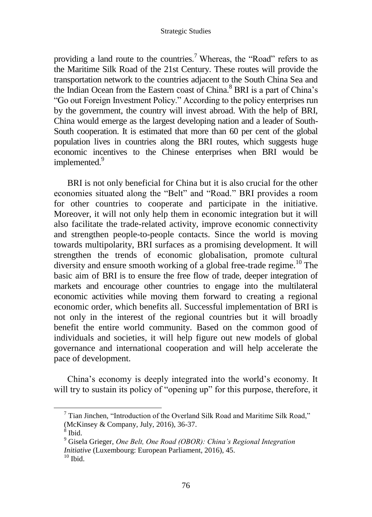providing a land route to the countries.<sup>7</sup> Whereas, the "Road" refers to as the Maritime Silk Road of the 21st Century. These routes will provide the transportation network to the countries adjacent to the South China Sea and the Indian Ocean from the Eastern coast of China.<sup>8</sup> BRI is a part of China's "Go out Foreign Investment Policy." According to the policy enterprises run by the government, the country will invest abroad. With the help of BRI, China would emerge as the largest developing nation and a leader of South-South cooperation. It is estimated that more than 60 per cent of the global population lives in countries along the BRI routes, which suggests huge economic incentives to the Chinese enterprises when BRI would be implemented.<sup>9</sup>

BRI is not only beneficial for China but it is also crucial for the other economies situated along the "Belt" and "Road." BRI provides a room for other countries to cooperate and participate in the initiative. Moreover, it will not only help them in economic integration but it will also facilitate the trade-related activity, improve economic connectivity and strengthen people-to-people contacts. Since the world is moving towards multipolarity, BRI surfaces as a promising development. It will strengthen the trends of economic globalisation, promote cultural diversity and ensure smooth working of a global free-trade regime.<sup>10</sup> The basic aim of BRI is to ensure the free flow of trade, deeper integration of markets and encourage other countries to engage into the multilateral economic activities while moving them forward to creating a regional economic order, which benefits all. Successful implementation of BRI is not only in the interest of the regional countries but it will broadly benefit the entire world community. Based on the common good of individuals and societies, it will help figure out new models of global governance and international cooperation and will help accelerate the pace of development.

China's economy is deeply integrated into the world's economy. It will try to sustain its policy of "opening up" for this purpose, therefore, it

 $7$  Tian Jinchen, "Introduction of the Overland Silk Road and Maritime Silk Road," (McKinsey & Company, July, 2016), 36-37.

 $^8$  Ibid.

<sup>9</sup> Gisela Grieger, *One Belt, One Road (OBOR): China's Regional Integration Initiative* (Luxembourg: European Parliament, 2016), 45.  $10$  Ibid.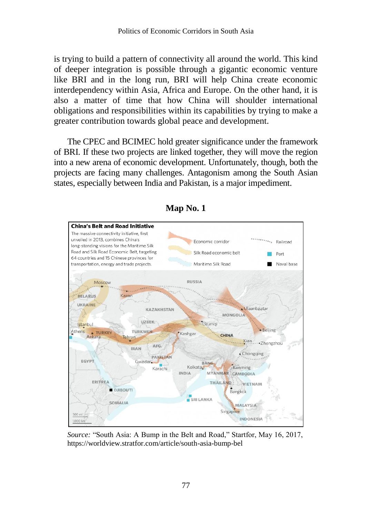is trying to build a pattern of connectivity all around the world. This kind of deeper integration is possible through a gigantic economic venture like BRI and in the long run, BRI will help China create economic interdependency within Asia, Africa and Europe. On the other hand, it is also a matter of time that how China will shoulder international obligations and responsibilities within its capabilities by trying to make a greater contribution towards global peace and development.

The CPEC and BCIMEC hold greater significance under the framework of BRI. If these two projects are linked together, they will move the region into a new arena of economic development. Unfortunately, though, both the projects are facing many challenges. Antagonism among the South Asian states, especially between India and Pakistan, is a major impediment.



#### **Map No. 1**

*Source:* "South Asia: A Bump in the Belt and Road," Startfor, May 16, 2017, https://worldview.stratfor.com/article/south-asia-bump-bel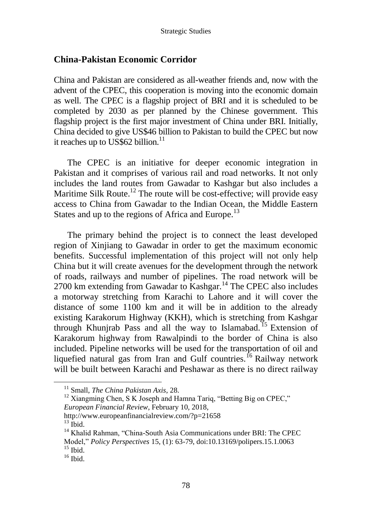### **China-Pakistan Economic Corridor**

China and Pakistan are considered as all-weather friends and, now with the advent of the CPEC, this cooperation is moving into the economic domain as well. The CPEC is a flagship project of BRI and it is scheduled to be completed by 2030 as per planned by the Chinese government. This flagship project is the first major investment of China under BRI. Initially, China decided to give US\$46 billion to Pakistan to build the CPEC but now it reaches up to US\$62 billion. $^{11}$ 

The CPEC is an initiative for deeper economic integration in Pakistan and it comprises of various rail and road networks. It not only includes the land routes from Gawadar to Kashgar but also includes a Maritime Silk Route.<sup>12</sup> The route will be cost-effective; will provide easy access to China from Gawadar to the Indian Ocean, the Middle Eastern States and up to the regions of Africa and Europe.<sup>13</sup>

The primary behind the project is to connect the least developed region of Xinjiang to Gawadar in order to get the maximum economic benefits. Successful implementation of this project will not only help China but it will create avenues for the development through the network of roads, railways and number of pipelines. The road network will be  $2700$  km extending from Gawadar to Kashgar.<sup>14</sup> The CPEC also includes a motorway stretching from Karachi to Lahore and it will cover the distance of some 1100 km and it will be in addition to the already existing Karakorum Highway (KKH), which is stretching from Kashgar through Khunjrab Pass and all the way to Islamabad.<sup>15</sup> Extension of Karakorum highway from Rawalpindi to the border of China is also included. Pipeline networks will be used for the transportation of oil and liquefied natural gas from Iran and Gulf countries.<sup>16</sup> Railway network will be built between Karachi and Peshawar as there is no direct railway

*European Financial Review*, February 10, 2018,

<http://www.europeanfinancialreview.com/?p=21658>

 $13$  Ibid.

<sup>11</sup> Small, *The China Pakistan Axis*, 28.

<sup>&</sup>lt;sup>12</sup> Xiangming Chen, S K Joseph and Hamna Tariq, "Betting Big on CPEC,"

<sup>&</sup>lt;sup>14</sup> Khalid Rahman, "China-South Asia Communications under BRI: The CPEC Model," *Policy Perspectives* 15, (1): 63-79, doi:10.13169/polipers.15.1.0063  $15$  Ibid.

 $16$  Ibid.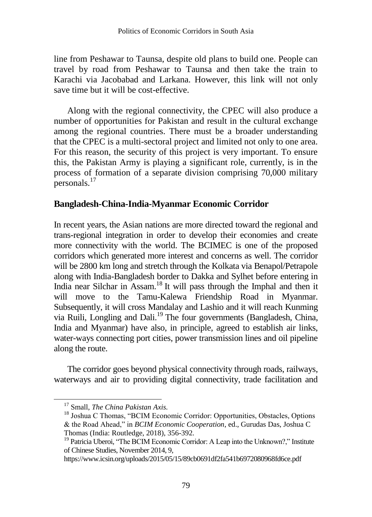line from Peshawar to Taunsa, despite old plans to build one. People can travel by road from Peshawar to Taunsa and then take the train to Karachi via Jacobabad and Larkana. However, this link will not only save time but it will be cost-effective.

Along with the regional connectivity, the CPEC will also produce a number of opportunities for Pakistan and result in the cultural exchange among the regional countries. There must be a broader understanding that the CPEC is a multi-sectoral project and limited not only to one area. For this reason, the security of this project is very important. To ensure this, the Pakistan Army is playing a significant role, currently, is in the process of formation of a separate division comprising 70,000 military personals.<sup>17</sup>

### **Bangladesh-China-India-Myanmar Economic Corridor**

In recent years, the Asian nations are more directed toward the regional and trans-regional integration in order to develop their economies and create more connectivity with the world. The BCIMEC is one of the proposed corridors which generated more interest and concerns as well. The corridor will be 2800 km long and stretch through the Kolkata via Benapol/Petrapole along with India-Bangladesh border to Dakka and Sylhet before entering in India near Silchar in Assam.<sup>18</sup> It will pass through the Imphal and then it will move to the Tamu-Kalewa Friendship Road in Myanmar. Subsequently, it will cross Mandalay and Lashio and it will reach Kunming via Ruili, Longling and Dali.<sup>19</sup> The four governments (Bangladesh, China, India and Myanmar) have also, in principle, agreed to establish air links, water-ways connecting port cities, power transmission lines and oil pipeline along the route.

The corridor goes beyond physical connectivity through roads, railways, waterways and air to providing digital connectivity, trade facilitation and

<sup>17</sup> Small, *The China Pakistan Axis.* 

<sup>&</sup>lt;sup>18</sup> Joshua C Thomas, "BCIM Economic Corridor: Opportunities, Obstacles, Options & the Road Ahead," in *BCIM Economic Cooperation*, ed., Gurudas Das, Joshua C Thomas (India: Routledge, 2018), 356-392.

<sup>&</sup>lt;sup>19</sup> Patricia Uberoi, "The BCIM Economic Corridor: A Leap into the Unknown?," Institute of Chinese Studies, November 2014, 9,

https://www.icsin.org/uploads/2015/05/15/89cb0691df2fa541b6972080968fd6ce.pdf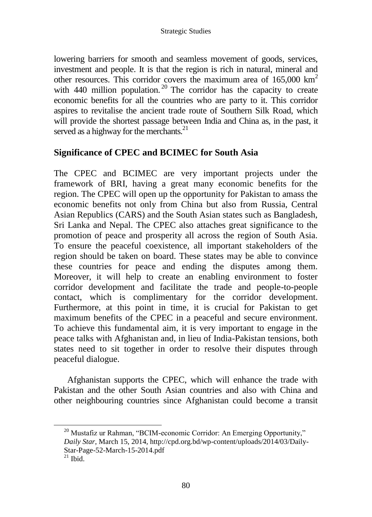lowering barriers for smooth and seamless movement of goods, services, investment and people. It is that the region is rich in natural, mineral and other resources. This corridor covers the maximum area of 165,000 km<sup>2</sup> with  $440$  million population.<sup>20</sup> The corridor has the capacity to create economic benefits for all the countries who are party to it. This corridor aspires to revitalise the ancient trade route of Southern Silk Road, which will provide the shortest passage between India and China as, in the past, it served as a highway for the merchants. $21$ 

## **Significance of CPEC and BCIMEC for South Asia**

The CPEC and BCIMEC are very important projects under the framework of BRI, having a great many economic benefits for the region. The CPEC will open up the opportunity for Pakistan to amass the economic benefits not only from China but also from Russia, Central Asian Republics (CARS) and the South Asian states such as Bangladesh, Sri Lanka and Nepal. The CPEC also attaches great significance to the promotion of peace and prosperity all across the region of South Asia. To ensure the peaceful coexistence, all important stakeholders of the region should be taken on board. These states may be able to convince these countries for peace and ending the disputes among them. Moreover, it will help to create an enabling environment to foster corridor development and facilitate the trade and people-to-people contact, which is complimentary for the corridor development. Furthermore, at this point in time, it is crucial for Pakistan to get maximum benefits of the CPEC in a peaceful and secure environment. To achieve this fundamental aim, it is very important to engage in the peace talks with Afghanistan and, in lieu of India-Pakistan tensions, both states need to sit together in order to resolve their disputes through peaceful dialogue.

Afghanistan supports the CPEC, which will enhance the trade with Pakistan and the other South Asian countries and also with China and other neighbouring countries since Afghanistan could become a transit

 $^{20}$  Mustafiz ur Rahman, "BCIM-economic Corridor: An Emerging Opportunity," *Daily Star*, March 15, 2014, http://cpd.org.bd/wp-content/uploads/2014/03/Daily-Star-Page-52-March-15-2014.pdf

 $21$  Ibid.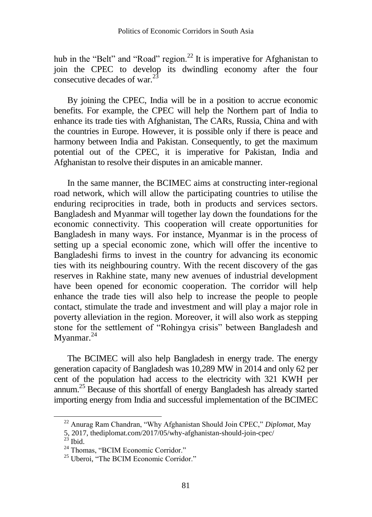hub in the "Belt" and "Road" region.<sup>22</sup> It is imperative for Afghanistan to join the CPEC to develop its dwindling economy after the four consecutive decades of war.<sup>23</sup>

By joining the CPEC, India will be in a position to accrue economic benefits. For example, the CPEC will help the Northern part of India to enhance its trade ties with Afghanistan, The CARs, Russia, China and with the countries in Europe. However, it is possible only if there is peace and harmony between India and Pakistan. Consequently, to get the maximum potential out of the CPEC, it is imperative for Pakistan, India and Afghanistan to resolve their disputes in an amicable manner.

In the same manner, the BCIMEC aims at constructing inter-regional road network, which will allow the participating countries to utilise the enduring reciprocities in trade, both in products and services sectors. Bangladesh and Myanmar will together lay down the foundations for the economic connectivity. This cooperation will create opportunities for Bangladesh in many ways. For instance, Myanmar is in the process of setting up a special economic zone, which will offer the incentive to Bangladeshi firms to invest in the country for advancing its economic ties with its neighbouring country. With the recent discovery of the gas reserves in Rakhine state, many new avenues of industrial development have been opened for economic cooperation. The corridor will help enhance the trade ties will also help to increase the people to people contact, stimulate the trade and investment and will play a major role in poverty alleviation in the region. Moreover, it will also work as stepping stone for the settlement of "Rohingya crisis" between Bangladesh and Myanmar.<sup>24</sup>

The BCIMEC will also help Bangladesh in energy trade. The energy generation capacity of Bangladesh was 10,289 MW in 2014 and only 62 per cent of the population had access to the electricity with 321 KWH per annum.<sup>25</sup> Because of this shortfall of energy Bangladesh has already started importing energy from India and successful implementation of the BCIMEC

 $\overline{a}$ 

<sup>22</sup> Anurag Ram Chandran, "Why Afghanistan Should Join CPEC," *Diplomat*, May

<sup>5, 2017,</sup> thediplomat.com/2017/05/why-afghanistan-should-join-cpec/

 $^{23}$  Ibid.

<sup>&</sup>lt;sup>24</sup> Thomas, "BCIM Economic Corridor."

<sup>&</sup>lt;sup>25</sup> Uberoi, "The BCIM Economic Corridor."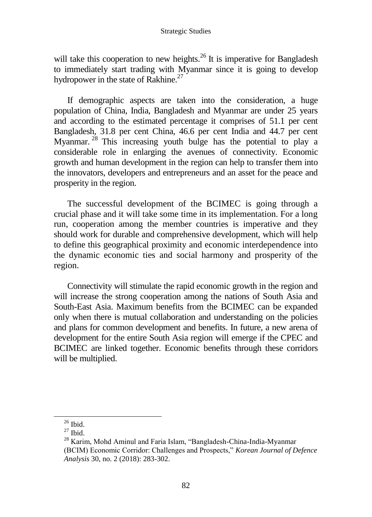will take this cooperation to new heights.<sup>26</sup> It is imperative for Bangladesh to immediately start trading with Myanmar since it is going to develop hydropower in the state of Rakhine.<sup>27</sup>

If demographic aspects are taken into the consideration, a huge population of China, India, Bangladesh and Myanmar are under 25 years and according to the estimated percentage it comprises of 51.1 per cent Bangladesh, 31.8 per cent China, 46.6 per cent India and 44.7 per cent Myanmar.<sup>28</sup> This increasing youth bulge has the potential to play a considerable role in enlarging the avenues of connectivity. Economic growth and human development in the region can help to transfer them into the innovators, developers and entrepreneurs and an asset for the peace and prosperity in the region.

The successful development of the BCIMEC is going through a crucial phase and it will take some time in its implementation. For a long run, cooperation among the member countries is imperative and they should work for durable and comprehensive development, which will help to define this geographical proximity and economic interdependence into the dynamic economic ties and social harmony and prosperity of the region.

Connectivity will stimulate the rapid economic growth in the region and will increase the strong cooperation among the nations of South Asia and South-East Asia. Maximum benefits from the BCIMEC can be expanded only when there is mutual collaboration and understanding on the policies and plans for common development and benefits. In future, a new arena of development for the entire South Asia region will emerge if the CPEC and BCIMEC are linked together. Economic benefits through these corridors will be multiplied.

 $\overline{a}$ 

 $26$  Ibid.

 $27$  Ibid.

<sup>&</sup>lt;sup>28</sup> Karim, Mohd Aminul and Faria Islam, "Bangladesh-China-India-Myanmar (BCIM) Economic Corridor: Challenges and Prospects," *Korean Journal of Defence Analysis* 30, no. 2 (2018): 283-302.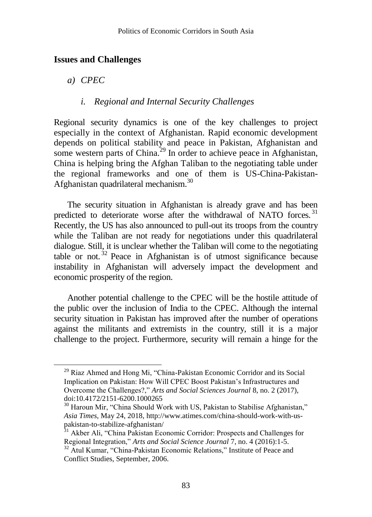#### **Issues and Challenges**

*a) CPEC*

 $\overline{a}$ 

#### *i. Regional and Internal Security Challenges*

Regional security dynamics is one of the key challenges to project especially in the context of Afghanistan. Rapid economic development depends on political stability and peace in Pakistan, Afghanistan and some western parts of China.<sup>29</sup> In order to achieve peace in Afghanistan, China is helping bring the Afghan Taliban to the negotiating table under the regional frameworks and one of them is US-China-Pakistan-Afghanistan quadrilateral mechanism.<sup>30</sup>

The security situation in Afghanistan is already grave and has been predicted to deteriorate worse after the withdrawal of NATO forces.<sup>31</sup> Recently, the US has also announced to pull-out its troops from the country while the Taliban are not ready for negotiations under this quadrilateral dialogue. Still, it is unclear whether the Taliban will come to the negotiating table or not. <sup>32</sup> Peace in Afghanistan is of utmost significance because instability in Afghanistan will adversely impact the development and economic prosperity of the region.

Another potential challenge to the CPEC will be the hostile attitude of the public over the inclusion of India to the CPEC. Although the internal security situation in Pakistan has improved after the number of operations against the militants and extremists in the country, still it is a major challenge to the project. Furthermore, security will remain a hinge for the

<sup>&</sup>lt;sup>29</sup> Riaz Ahmed and Hong Mi, "China-Pakistan Economic Corridor and its Social Implication on Pakistan: How Will CPEC Boost Pakistan's Infrastructures and Overcome the Challenges?," *Arts and Social Sciences Journal* 8, no. 2 (2017), doi:10.4172/2151-6200.1000265

<sup>&</sup>lt;sup>30</sup> Haroun Mir, "China Should Work with US, Pakistan to Stabilise Afghanistan," *Asia Times,* May 24, 2018, http://www.atimes.com/china-should-work-with-uspakistan-to-stabilize-afghanistan/

<sup>&</sup>lt;sup>31</sup> Akber Ali, "China Pakistan Economic Corridor: Prospects and Challenges for Regional Integration," *Arts and Social Science Journal* 7, no. 4 (2016):1-5.

<sup>&</sup>lt;sup>32</sup> Atul Kumar, "China-Pakistan Economic Relations," Institute of Peace and Conflict Studies, September, 2006.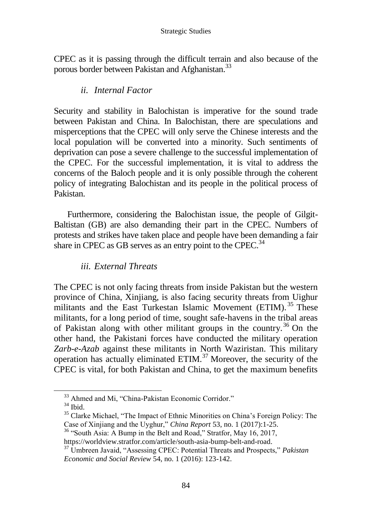CPEC as it is passing through the difficult terrain and also because of the porous border between Pakistan and Afghanistan.<sup>33</sup>

### *ii. Internal Factor*

Security and stability in Balochistan is imperative for the sound trade between Pakistan and China. In Balochistan, there are speculations and misperceptions that the CPEC will only serve the Chinese interests and the local population will be converted into a minority. Such sentiments of deprivation can pose a severe challenge to the successful implementation of the CPEC. For the successful implementation, it is vital to address the concerns of the Baloch people and it is only possible through the coherent policy of integrating Balochistan and its people in the political process of Pakistan.

Furthermore, considering the Balochistan issue, the people of Gilgit-Baltistan (GB) are also demanding their part in the CPEC. Numbers of protests and strikes have taken place and people have been demanding a fair share in CPEC as GB serves as an entry point to the CPEC.<sup>34</sup>

### *iii. External Threats*

The CPEC is not only facing threats from inside Pakistan but the western province of China, Xinjiang, is also facing security threats from Uighur militants and the East Turkestan Islamic Movement (ETIM).<sup>35</sup> These militants, for a long period of time, sought safe-havens in the tribal areas of Pakistan along with other militant groups in the country.<sup>36</sup> On the other hand, the Pakistani forces have conducted the military operation *Zarb-e-Azab* against these militants in North Waziristan. This military operation has actually eliminated ETIM. $37$  Moreover, the security of the CPEC is vital, for both Pakistan and China, to get the maximum benefits

 $\overline{a}$ 

 $36$  "South Asia: A Bump in the Belt and Road," Stratfor, May 16, 2017, https://worldview.stratfor.com/article/south-asia-bump-belt-and-road.

<sup>&</sup>lt;sup>33</sup> Ahmed and Mi, "China-Pakistan Economic Corridor."

<sup>34</sup> Ibid.

<sup>&</sup>lt;sup>35</sup> Clarke Michael, "The Impact of Ethnic Minorities on China's Foreign Policy: The Case of Xinjiang and the Uyghur," *China Report* 53, no. 1 (2017):1-25.

<sup>37</sup> Umbreen Javaid, "Assessing CPEC: Potential Threats and Prospects," *Pakistan Economic and Social Review* 54, no. 1 (2016): 123-142.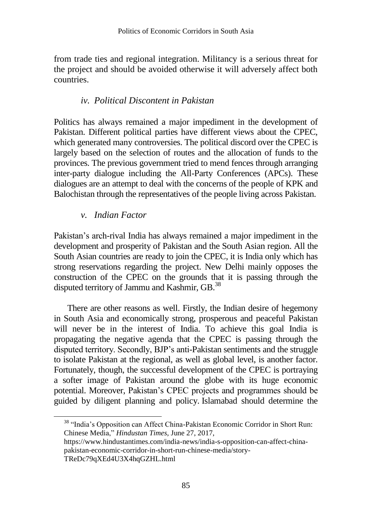from trade ties and regional integration. Militancy is a serious threat for the project and should be avoided otherwise it will adversely affect both countries.

### *iv. Political Discontent in Pakistan*

Politics has always remained a major impediment in the development of Pakistan. Different political parties have different views about the CPEC, which generated many controversies. The political discord over the CPEC is largely based on the selection of routes and the allocation of funds to the provinces. The previous government tried to mend fences through arranging inter-party dialogue including the All-Party Conferences (APCs). These dialogues are an attempt to deal with the concerns of the people of KPK and Balochistan through the representatives of the people living across Pakistan.

### *v. Indian Factor*

 $\overline{a}$ 

Pakistan's arch-rival India has always remained a major impediment in the development and prosperity of Pakistan and the South Asian region. All the South Asian countries are ready to join the CPEC, it is India only which has strong reservations regarding the project. New Delhi mainly opposes the construction of the CPEC on the grounds that it is passing through the disputed territory of Jammu and Kashmir, GB.<sup>38</sup>

There are other reasons as well. Firstly, the Indian desire of hegemony in South Asia and economically strong, prosperous and peaceful Pakistan will never be in the interest of India. To achieve this goal India is propagating the negative agenda that the CPEC is passing through the disputed territory. Secondly, BJP's anti-Pakistan sentiments and the struggle to isolate Pakistan at the regional, as well as global level, is another factor. Fortunately, though, the successful development of the CPEC is portraying a softer image of Pakistan around the globe with its huge economic potential. Moreover, Pakistan's CPEC projects and programmes should be guided by diligent planning and policy. Islamabad should determine the

<sup>38</sup> "India's Opposition can Affect China-Pakistan Economic Corridor in Short Run: Chinese Media," *Hindustan Times,* June 27, 2017,

https://www.hindustantimes.com/india-news/india-s-opposition-can-affect-chinapakistan-economic-corridor-in-short-run-chinese-media/story-TReDc79qXEd4U3X4hqGZHL.html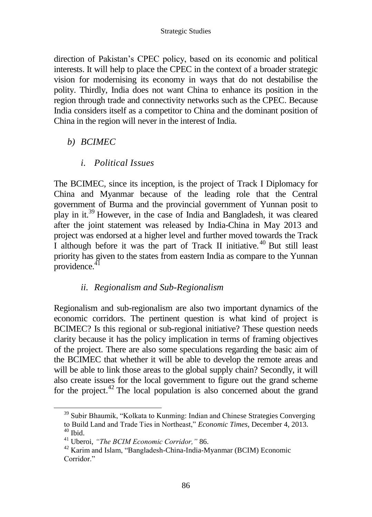direction of Pakistan's CPEC policy, based on its economic and political interests. It will help to place the CPEC in the context of a broader strategic vision for modernising its economy in ways that do not destabilise the polity. Thirdly, India does not want China to enhance its position in the region through trade and connectivity networks such as the CPEC. Because India considers itself as a competitor to China and the dominant position of China in the region will never in the interest of India.

#### *b) BCIMEC*

### *i. Political Issues*

The BCIMEC, since its inception, is the project of Track I Diplomacy for China and Myanmar because of the leading role that the Central government of Burma and the provincial government of Yunnan posit to play in it.<sup>39</sup> However, in the case of India and Bangladesh, it was cleared after the joint statement was released by India-China in May 2013 and project was endorsed at a higher level and further moved towards the Track I although before it was the part of Track II initiative. <sup>40</sup> But still least priority has given to the states from eastern India as compare to the Yunnan  $providence<sup>41</sup>$ 

### *ii. Regionalism and Sub-Regionalism*

Regionalism and sub-regionalism are also two important dynamics of the economic corridors. The pertinent question is what kind of project is BCIMEC? Is this regional or sub-regional initiative? These question needs clarity because it has the policy implication in terms of framing objectives of the project. There are also some speculations regarding the basic aim of the BCIMEC that whether it will be able to develop the remote areas and will be able to link those areas to the global supply chain? Secondly, it will also create issues for the local government to figure out the grand scheme for the project. $42$  The local population is also concerned about the grand

<sup>&</sup>lt;sup>39</sup> Subir Bhaumik, "Kolkata to Kunming: Indian and Chinese Strategies Converging to Build Land and Trade Ties in Northeast," *Economic Times*, December 4, 2013.  $40$  Ibid.

<sup>41</sup> Uberoi, *"The BCIM Economic Corridor,"* 86.

<sup>42</sup> Karim and Islam, "Bangladesh-China-India-Myanmar (BCIM) Economic Corridor."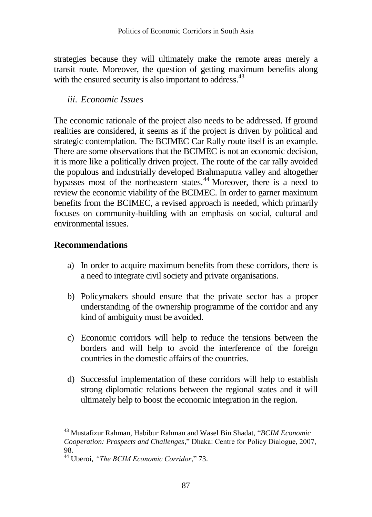strategies because they will ultimately make the remote areas merely a transit route. Moreover, the question of getting maximum benefits along with the ensured security is also important to address.<sup>43</sup>

#### *iii. Economic Issues*

The economic rationale of the project also needs to be addressed. If ground realities are considered, it seems as if the project is driven by political and strategic contemplation. The BCIMEC Car Rally route itself is an example. There are some observations that the BCIMEC is not an economic decision, it is more like a politically driven project. The route of the car rally avoided the populous and industrially developed Brahmaputra valley and altogether bypasses most of the northeastern states.<sup>44</sup> Moreover, there is a need to review the economic viability of the BCIMEC. In order to garner maximum benefits from the BCIMEC, a revised approach is needed, which primarily focuses on community-building with an emphasis on social, cultural and environmental issues.

### **Recommendations**

- a) In order to acquire maximum benefits from these corridors, there is a need to integrate civil society and private organisations.
- b) Policymakers should ensure that the private sector has a proper understanding of the ownership programme of the corridor and any kind of ambiguity must be avoided.
- c) Economic corridors will help to reduce the tensions between the borders and will help to avoid the interference of the foreign countries in the domestic affairs of the countries.
- d) Successful implementation of these corridors will help to establish strong diplomatic relations between the regional states and it will ultimately help to boost the economic integration in the region.

<sup>43</sup> Mustafizur Rahman, Habibur Rahman and Wasel Bin Shadat, "*BCIM Economic Cooperation: Prospects and Challenges*," Dhaka: Centre for Policy Dialogue, 2007, 98.

<sup>44</sup> Uberoi, *"The BCIM Economic Corridor*," 73.